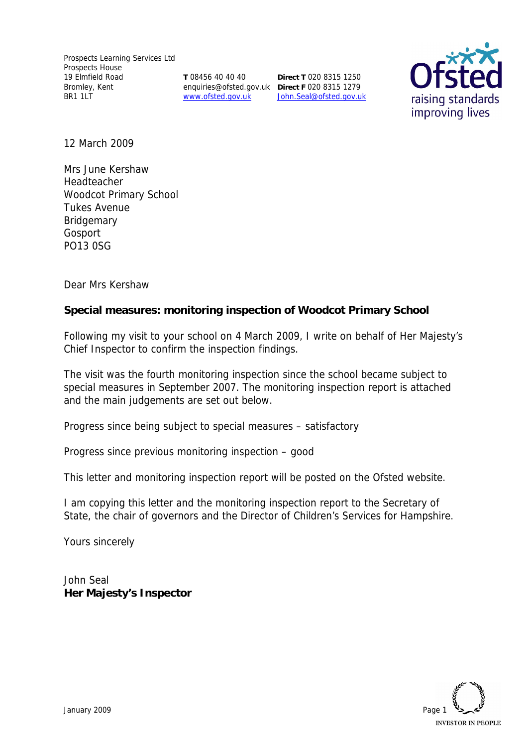**T** 08456 40 40 40 www.ofsted.gov.uk

enquiries@ofsted.gov.uk **Direct F** 020 8315 1279 **Direct T** 020 8315 1250 John.Seal@ofsted.gov.uk



12 March 2009

Mrs June Kershaw Headteacher Woodcot Primary School Tukes Avenue **Bridgemary** Gosport PO13 0SG

Dear Mrs Kershaw

**Special measures: monitoring inspection of Woodcot Primary School**

Following my visit to your school on 4 March 2009, I write on behalf of Her Majesty's Chief Inspector to confirm the inspection findings.

The visit was the fourth monitoring inspection since the school became subject to special measures in September 2007. The monitoring inspection report is attached and the main judgements are set out below.

Progress since being subject to special measures – satisfactory

Progress since previous monitoring inspection – good

This letter and monitoring inspection report will be posted on the Ofsted website.

I am copying this letter and the monitoring inspection report to the Secretary of State, the chair of governors and the Director of Children's Services for Hampshire.

Yours sincerely

John Seal **Her Majesty's Inspector**

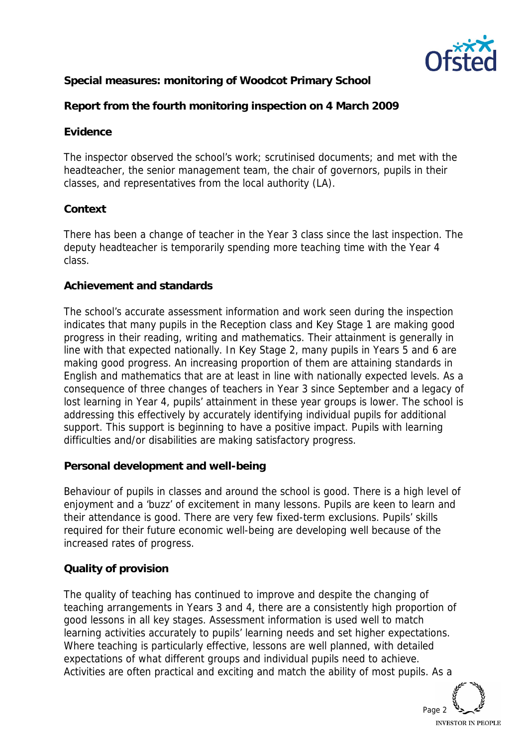

**Special measures: monitoring of Woodcot Primary School**

**Report from the fourth monitoring inspection on 4 March 2009**

### **Evidence**

The inspector observed the school's work; scrutinised documents; and met with the headteacher, the senior management team, the chair of governors, pupils in their classes, and representatives from the local authority (LA).

# **Context**

There has been a change of teacher in the Year 3 class since the last inspection. The deputy headteacher is temporarily spending more teaching time with the Year 4 class.

### **Achievement and standards**

The school's accurate assessment information and work seen during the inspection indicates that many pupils in the Reception class and Key Stage 1 are making good progress in their reading, writing and mathematics. Their attainment is generally in line with that expected nationally. In Key Stage 2, many pupils in Years 5 and 6 are making good progress. An increasing proportion of them are attaining standards in English and mathematics that are at least in line with nationally expected levels. As a consequence of three changes of teachers in Year 3 since September and a legacy of lost learning in Year 4, pupils' attainment in these year groups is lower. The school is addressing this effectively by accurately identifying individual pupils for additional support. This support is beginning to have a positive impact. Pupils with learning difficulties and/or disabilities are making satisfactory progress.

### **Personal development and well-being**

Behaviour of pupils in classes and around the school is good. There is a high level of enjoyment and a 'buzz' of excitement in many lessons. Pupils are keen to learn and their attendance is good. There are very few fixed-term exclusions. Pupils' skills required for their future economic well-being are developing well because of the increased rates of progress.

### **Quality of provision**

The quality of teaching has continued to improve and despite the changing of teaching arrangements in Years 3 and 4, there are a consistently high proportion of good lessons in all key stages. Assessment information is used well to match learning activities accurately to pupils' learning needs and set higher expectations. Where teaching is particularly effective, lessons are well planned, with detailed expectations of what different groups and individual pupils need to achieve. Activities are often practical and exciting and match the ability of most pupils. As a

Page 2 **INVESTOR IN PEOPLE**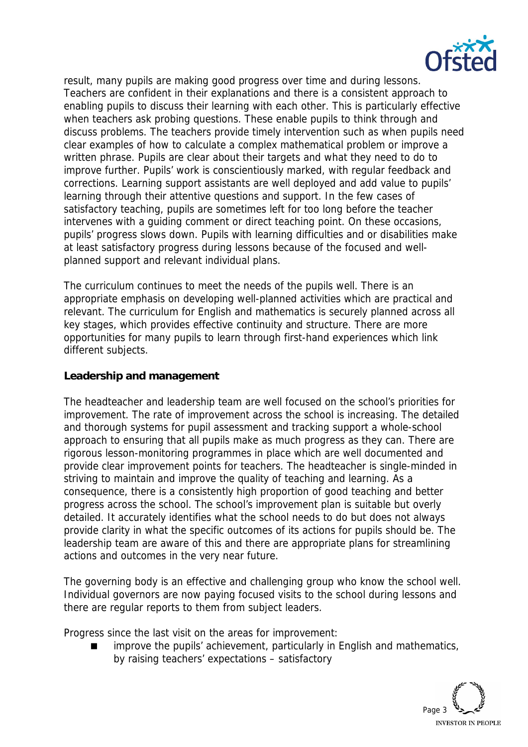

result, many pupils are making good progress over time and during lessons. Teachers are confident in their explanations and there is a consistent approach to enabling pupils to discuss their learning with each other. This is particularly effective when teachers ask probing questions. These enable pupils to think through and discuss problems. The teachers provide timely intervention such as when pupils need clear examples of how to calculate a complex mathematical problem or improve a written phrase. Pupils are clear about their targets and what they need to do to improve further. Pupils' work is conscientiously marked, with regular feedback and corrections. Learning support assistants are well deployed and add value to pupils' learning through their attentive questions and support. In the few cases of satisfactory teaching, pupils are sometimes left for too long before the teacher intervenes with a guiding comment or direct teaching point. On these occasions, pupils' progress slows down. Pupils with learning difficulties and or disabilities make at least satisfactory progress during lessons because of the focused and wellplanned support and relevant individual plans.

The curriculum continues to meet the needs of the pupils well. There is an appropriate emphasis on developing well-planned activities which are practical and relevant. The curriculum for English and mathematics is securely planned across all key stages, which provides effective continuity and structure. There are more opportunities for many pupils to learn through first-hand experiences which link different subjects.

#### **Leadership and management**

The headteacher and leadership team are well focused on the school's priorities for improvement. The rate of improvement across the school is increasing. The detailed and thorough systems for pupil assessment and tracking support a whole-school approach to ensuring that all pupils make as much progress as they can. There are rigorous lesson-monitoring programmes in place which are well documented and provide clear improvement points for teachers. The headteacher is single-minded in striving to maintain and improve the quality of teaching and learning. As a consequence, there is a consistently high proportion of good teaching and better progress across the school. The school's improvement plan is suitable but overly detailed. It accurately identifies what the school needs to do but does not always provide clarity in what the specific outcomes of its actions for pupils should be. The leadership team are aware of this and there are appropriate plans for streamlining actions and outcomes in the very near future.

The governing body is an effective and challenging group who know the school well. Individual governors are now paying focused visits to the school during lessons and there are regular reports to them from subject leaders.

Progress since the last visit on the areas for improvement:

 improve the pupils' achievement, particularly in English and mathematics, by raising teachers' expectations – satisfactory